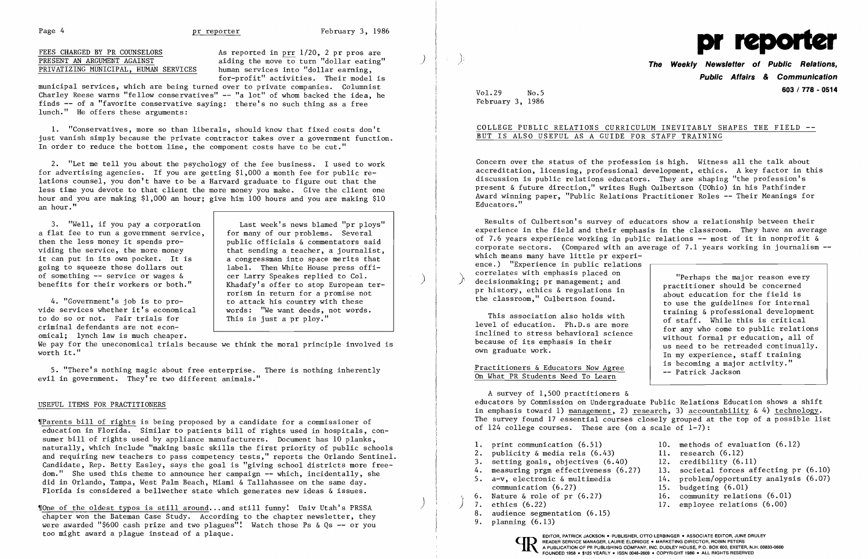Page 4 **pr reporter** February 3, 1986

Page 4 **pr February 3, 1986**<br>
FEES CHARGED BY PR COUNSELORS As reported in <u>prr</u> 1/20, 2 pr pros are PRESENT AN ARGUMENT AGAINST *J;* aiding the move~ turn "dollar eating" ) \ for-profit" activities. Their model is

municipal services, which are being turned over to private companies. Columnist Charley Reese warns "fellow conservatives"  $-$  "a lot" of whom backed the idea, he finds **--** of a "favorite conservative saying: there's no such thing as a free lunch." He offers these arguments:

1. "Conservatives, more so than liberals, should know that fixed costs don't just vanish simply because the private contractor takes over a government function. In order to reduce the bottom line, the component costs have to be cut."

4. "Government's job is to pro-<br>vide services whether it's economical to do so or not. Fair trials for criminal defendants are not economical; lynch law is much cheaper.

2. "Let me tell you about the psychology of the fee business. I used to work for advertising agencies. If you are getting \$1,000 a month fee for public relations counsel, you don't have to be a Harvard graduate to figure out that the less time you devote to that client the more money you make. Give the client one hour and you are making \$1,000 an hour; give him 100 hours and you are making \$10 an hour."

3. "Well, if you pay a corporation | Last week's news blamed "pr ploys"<br>flat fee to run a government service, | for many of our problems. Several a flat fee to run a government service, then the less money it spends prothen the less money it spends pro-<br>
viding the service, the more money<br>  $\begin{array}{|l|l|} \hline \text{public officials & commentators said} \\ \text{that sending a teacher, a journalist.} \end{array}$ it can put in its own pocket. It is<br>going to squeeze those dollars out going to squeeze those dollars out  $\begin{array}{|l|l|}\n\hline\n\text{left} & \text{left} & \text{left} & \text{where } \text{cases of } \text{first} \right.\n\hline\n\end{array}$ 

 $\gamma$ Parents bill of rights is being proposed by a candidate for a commissioner of education in Florida. Similar to patients bill of rights used in hospitals, consumer bill of rights used by appliance manufacturers. Document has 10 planks, naturally, which include "making basic skills the first priority of public schools and requiring new teachers to pass competency tests," reports the Orlando Sentinel. Candidate, Rep. Betty Easley, says the goal is "giving school districts more freedom." She used this theme to announce her campaign -- which, incidentally, she did in Orlando, Tampa, West Palm Beach, Miami & Tallahassee on the same day. Florida is considered a bellwether state which generates new ideas & issues.

fone of the oldest typos is still around ... and still funny! Univ Utah's PRSSA chapter won the Bateman Case Study. According to the chapter newsletter, they were awarded "\$600 cash prize and two plagues"! Watch those Ps  $\&$  Qs -- or you too might award a plague instead of a plaque.

**The Weekly Newsletter of Public Relations,<br>Public Affairs & Communication 603/778 - <sup>0514</sup>**Vol. 29 No.5

Results of Culbertson's survey of educators show a relationship between their experience in the field and their emphasis in the classroom. They have an average of 7.6 years experience working in public relations -- most of it in nonprofit & corporate sectors. (Compared with an average of 7.1 years working in journalism  $$ which means many have little pr experience.) "Experience in public relations<br>
correlates with emphasis placed on<br>
decisionmaking; pr management; and<br>
pr history, ethics & regulations in<br>
about education for the field is

Practitioners & Educators Now Agree The Patrick Jackson Con What PR Students Need To Learn

We pay for the uneconomical trials because we think the moral principle involved is worth it."

5. "There's nothing magic about free enterprise. There is nothing inherently evil in government. They're two different animals."

### USEFUL ITEMS FOR PRACTITIONERS

A survey of 1,500 practitioners & educators by Commission on Undergraduate Public Relations Education shows a shift in emphasis toward 1) management, 2) research, 3) accountability  $\& 4$ ) technology. The survey found 17 essential courses closely grouped at the top of a possible list of 124 college courses. These are (on a scale of  $1-7$ ):

- 
- 2. publicity  $\&$  media rels  $(6.43)$  11. research  $(6.12)$
- 
- 3. setting goals, objectives (6.40) 12. credibility (6.11)<br>4. measuring prgm effectiveness (6.27) 13. societal forces af 4. measuring prgm effectiveness (6.27) 13. societal forces affecting pr (6.10)<br>5. a-v. electronic & multimedia 14. problem/opportunity analysis (6.07)
- $a-v$ , electronic & multimedia  $14.$  problem/opportunity analysis (6.07)<br>communication (6.27)  $15.$  budgeting (6.01) communication  $(6.27)$  15. budgeting  $(6.01)$ <br>6. Nature & role of pr  $(6.27)$  16. community relation
- 6. Nature & role of pr (6.27) 16. community relations (6.01)<br>7. ethics (6.22) 17. employee relations (6.00)
- 
- 8. audience segmentation (6.15)
- 9. planning (6.13)

that sending a teacher, a journalist, a congressman into space merits that benefits for their workers or both." | Khadafy's offer to stop European terrorism in return for a promise not<br>to attack his country with these words: "We want deeds, not words.<br>This is just a pr ploy."



February 3, 1986

COLLEGE PUBLIC RELATIONS CURRICULUM INEVITABLY SHAPES THE FIELD -

pr history, ethical is the classroom," Culbertson found.<br>to use the guidelines for internal<br>training & professional development This association also holds with<br>
level of education. Ph.D.s are more<br>
inclined to stress behavioral science<br>
because of its emphasis in their<br>
their<br>
level of staff. While this is critical<br>
for any who come to public rela because of its emphasis in their<br>
own graduate work.<br>
In my experience, staff training<br>
is becoming a major activity."

- 1. print communication (6.51) 10. methods of evaluation (6.12)
	-
	-
	-
	-
	-
	-
	- 17. employee relations (6.00)

# BUT IS ALSO USEFUL AS A GUIDE FOR STAFF TRAINING

Concern over the status of the profession is high. Witness all the talk about accreditation, licensing, professional development, ethics. A key factor in this discussion is public relations educators. They are shaping "the profession's present & future direction," writes Hugh Culbertson (UOhio) in his Pathfinder Award winning paper, "Public Relations Practitioner Roles -- Their Meanings for Educators."